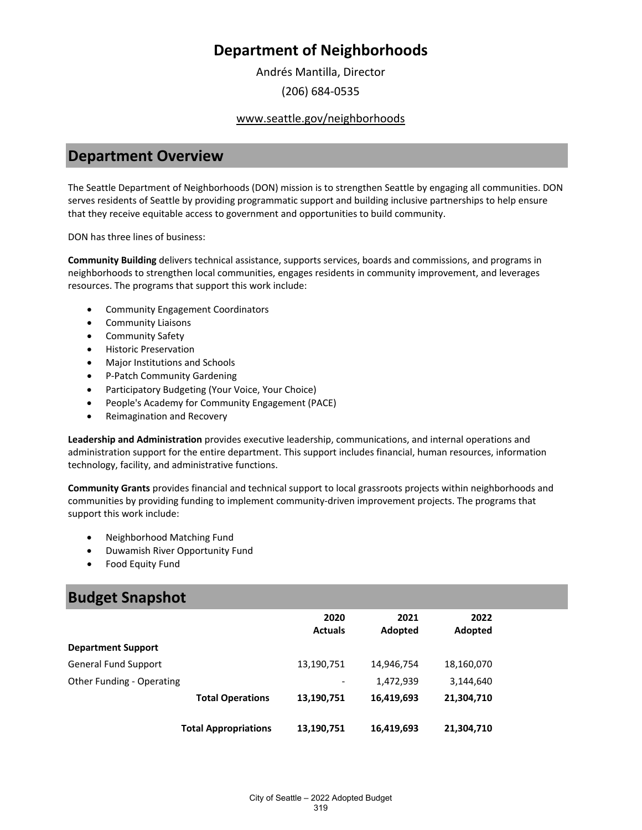Andrés Mantilla, Director (206) 684-0535

## www.seattle.gov/neighborhoods

## **Department Overview**

The Seattle Department of Neighborhoods (DON) mission is to strengthen Seattle by engaging all communities. DON serves residents of Seattle by providing programmatic support and building inclusive partnerships to help ensure that they receive equitable access to government and opportunities to build community.

DON has three lines of business:

**Community Building** delivers technical assistance, supports services, boards and commissions, and programs in neighborhoods to strengthen local communities, engages residents in community improvement, and leverages resources. The programs that support this work include:

- Community Engagement Coordinators
- Community Liaisons
- Community Safety
- Historic Preservation
- Major Institutions and Schools
- P-Patch Community Gardening
- Participatory Budgeting (Your Voice, Your Choice)
- People's Academy for Community Engagement (PACE)
- Reimagination and Recovery

**Leadership and Administration** provides executive leadership, communications, and internal operations and administration support for the entire department. This support includes financial, human resources, information technology, facility, and administrative functions.

**Community Grants** provides financial and technical support to local grassroots projects within neighborhoods and communities by providing funding to implement community-driven improvement projects. The programs that support this work include:

- Neighborhood Matching Fund
- Duwamish River Opportunity Fund
- Food Equity Fund

## **Budget Snapshot**

|                             |                             | 2020<br><b>Actuals</b>   | 2021<br>Adopted | 2022<br>Adopted |
|-----------------------------|-----------------------------|--------------------------|-----------------|-----------------|
| <b>Department Support</b>   |                             |                          |                 |                 |
| <b>General Fund Support</b> |                             | 13,190,751               | 14,946,754      | 18,160,070      |
| Other Funding - Operating   |                             | $\overline{\phantom{a}}$ | 1,472,939       | 3,144,640       |
|                             | <b>Total Operations</b>     | 13,190,751               | 16,419,693      | 21,304,710      |
|                             | <b>Total Appropriations</b> | 13,190,751               | 16,419,693      | 21,304,710      |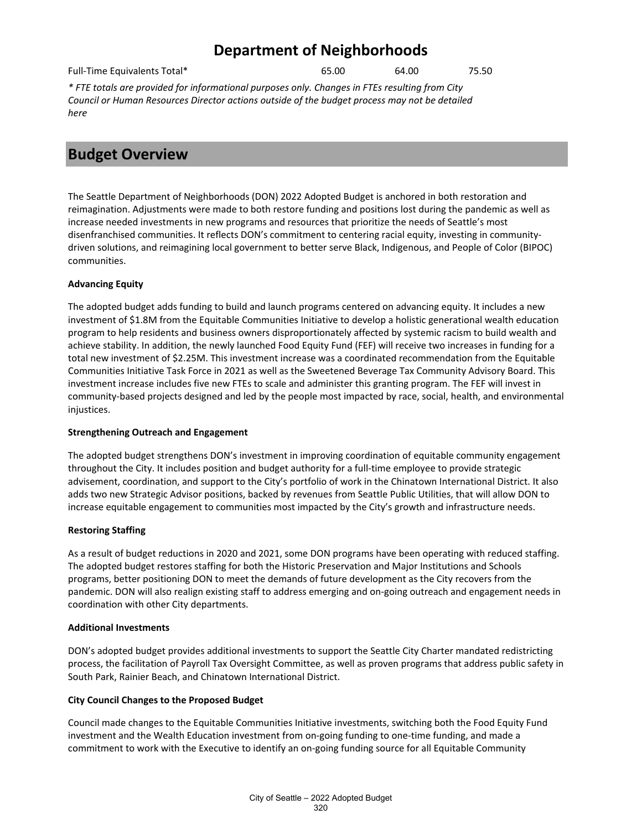Full-Time Equivalents Total\* 65.00 64.00 75.50

*\* FTE totals are provided for informational purposes only. Changes in FTEs resulting from City Council or Human Resources Director actions outside of the budget process may not be detailed here*

# **Budget Overview**

The Seattle Department of Neighborhoods (DON) 2022 Adopted Budget is anchored in both restoration and reimagination. Adjustments were made to both restore funding and positions lost during the pandemic as well as increase needed investments in new programs and resources that prioritize the needs of Seattle's most disenfranchised communities. It reflects DON's commitment to centering racial equity, investing in communitydriven solutions, and reimagining local government to better serve Black, Indigenous, and People of Color (BIPOC) communities.

## **Advancing Equity**

The adopted budget adds funding to build and launch programs centered on advancing equity. It includes a new investment of \$1.8M from the Equitable Communities Initiative to develop a holistic generational wealth education program to help residents and business owners disproportionately affected by systemic racism to build wealth and achieve stability. In addition, the newly launched Food Equity Fund (FEF) will receive two increases in funding for a total new investment of \$2.25M. This investment increase was a coordinated recommendation from the Equitable Communities Initiative Task Force in 2021 as well as the Sweetened Beverage Tax Community Advisory Board. This investment increase includes five new FTEs to scale and administer this granting program. The FEF will invest in community-based projects designed and led by the people most impacted by race, social, health, and environmental injustices.

## **Strengthening Outreach and Engagement**

The adopted budget strengthens DON's investment in improving coordination of equitable community engagement throughout the City. It includes position and budget authority for a full-time employee to provide strategic advisement, coordination, and support to the City's portfolio of work in the Chinatown International District. It also adds two new Strategic Advisor positions, backed by revenues from Seattle Public Utilities, that will allow DON to increase equitable engagement to communities most impacted by the City's growth and infrastructure needs.

## **Restoring Staffing**

As a result of budget reductions in 2020 and 2021, some DON programs have been operating with reduced staffing. The adopted budget restores staffing for both the Historic Preservation and Major Institutions and Schools programs, better positioning DON to meet the demands of future development as the City recovers from the pandemic. DON will also realign existing staff to address emerging and on-going outreach and engagement needs in coordination with other City departments.

## **Additional Investments**

DON's adopted budget provides additional investments to support the Seattle City Charter mandated redistricting process, the facilitation of Payroll Tax Oversight Committee, as well as proven programs that address public safety in South Park, Rainier Beach, and Chinatown International District.

## **City Council Changes to the Proposed Budget**

Council made changes to the Equitable Communities Initiative investments, switching both the Food Equity Fund investment and the Wealth Education investment from on-going funding to one-time funding, and made a commitment to work with the Executive to identify an on-going funding source for all Equitable Community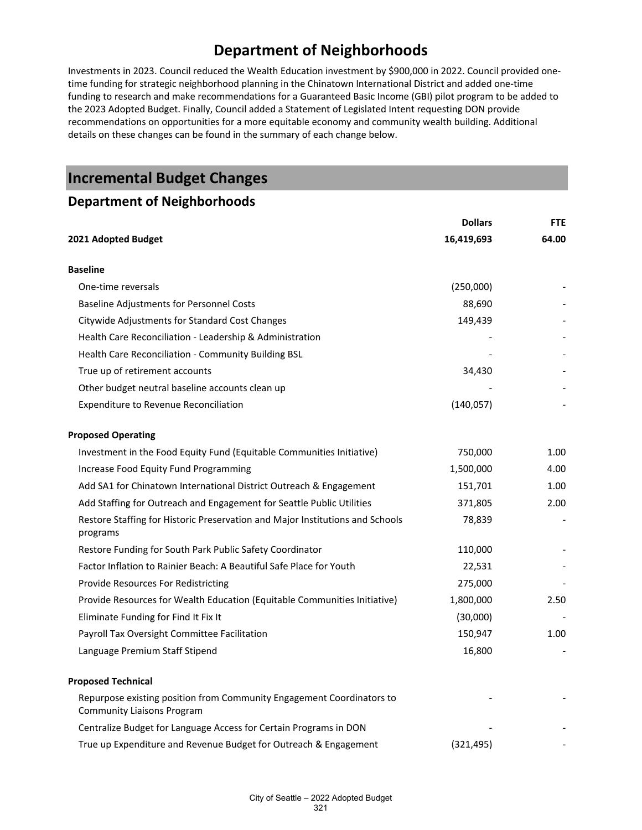Investments in 2023. Council reduced the Wealth Education investment by \$900,000 in 2022. Council provided onetime funding for strategic neighborhood planning in the Chinatown International District and added one-time funding to research and make recommendations for a Guaranteed Basic Income (GBI) pilot program to be added to the 2023 Adopted Budget. Finally, Council added a Statement of Legislated Intent requesting DON provide recommendations on opportunities for a more equitable economy and community wealth building. Additional details on these changes can be found in the summary of each change below.

## **Incremental Budget Changes**

## **Department of Neighborhoods**

|                                                                                                            | <b>Dollars</b> | <b>FTE</b> |
|------------------------------------------------------------------------------------------------------------|----------------|------------|
| 16,419,693<br>2021 Adopted Budget                                                                          |                | 64.00      |
| <b>Baseline</b>                                                                                            |                |            |
| One-time reversals                                                                                         | (250,000)      |            |
| <b>Baseline Adjustments for Personnel Costs</b>                                                            | 88,690         |            |
| Citywide Adjustments for Standard Cost Changes                                                             | 149,439        |            |
| Health Care Reconciliation - Leadership & Administration                                                   |                |            |
| Health Care Reconciliation - Community Building BSL                                                        |                |            |
| True up of retirement accounts                                                                             | 34,430         |            |
| Other budget neutral baseline accounts clean up                                                            |                |            |
| <b>Expenditure to Revenue Reconciliation</b>                                                               | (140, 057)     |            |
| <b>Proposed Operating</b>                                                                                  |                |            |
| Investment in the Food Equity Fund (Equitable Communities Initiative)                                      | 750,000        | 1.00       |
| Increase Food Equity Fund Programming                                                                      | 1,500,000      | 4.00       |
| Add SA1 for Chinatown International District Outreach & Engagement                                         | 151,701        | 1.00       |
| Add Staffing for Outreach and Engagement for Seattle Public Utilities                                      | 371,805        | 2.00       |
| Restore Staffing for Historic Preservation and Major Institutions and Schools<br>programs                  | 78,839         |            |
| Restore Funding for South Park Public Safety Coordinator                                                   | 110,000        |            |
| Factor Inflation to Rainier Beach: A Beautiful Safe Place for Youth                                        | 22,531         |            |
| Provide Resources For Redistricting                                                                        | 275,000        |            |
| Provide Resources for Wealth Education (Equitable Communities Initiative)                                  | 1,800,000      | 2.50       |
| Eliminate Funding for Find It Fix It                                                                       | (30,000)       |            |
| Payroll Tax Oversight Committee Facilitation                                                               | 150,947        | 1.00       |
| Language Premium Staff Stipend                                                                             | 16,800         |            |
| <b>Proposed Technical</b>                                                                                  |                |            |
| Repurpose existing position from Community Engagement Coordinators to<br><b>Community Liaisons Program</b> |                |            |
| Centralize Budget for Language Access for Certain Programs in DON                                          |                |            |
| True up Expenditure and Revenue Budget for Outreach & Engagement                                           | (321, 495)     |            |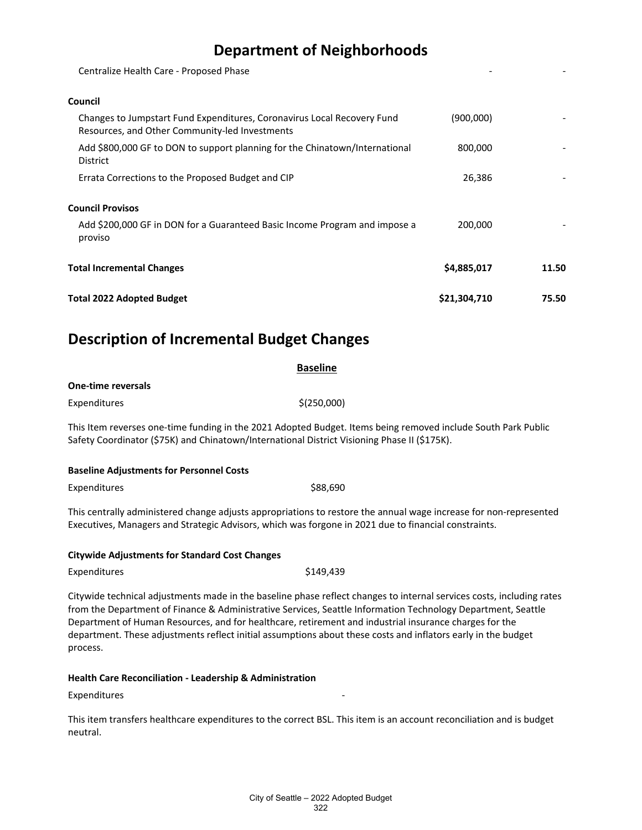Centralize Health Care - Proposed Phase

#### **Council**

| Total 2022 Adopted Budget                                                                                                 | \$21,304,710 | 75.50 |
|---------------------------------------------------------------------------------------------------------------------------|--------------|-------|
| <b>Total Incremental Changes</b>                                                                                          | \$4,885,017  | 11.50 |
| Add \$200,000 GF in DON for a Guaranteed Basic Income Program and impose a<br>proviso                                     | 200.000      |       |
| <b>Council Provisos</b>                                                                                                   |              |       |
| Errata Corrections to the Proposed Budget and CIP                                                                         | 26,386       |       |
| Add \$800,000 GF to DON to support planning for the Chinatown/International<br><b>District</b>                            | 800,000      |       |
| Changes to Jumpstart Fund Expenditures, Coronavirus Local Recovery Fund<br>Resources, and Other Community-led Investments | (900,000)    |       |
|                                                                                                                           |              |       |

## **Description of Incremental Budget Changes**

|                                                 | <b>Baseline</b>                                                                                                                                                                                                           |  |
|-------------------------------------------------|---------------------------------------------------------------------------------------------------------------------------------------------------------------------------------------------------------------------------|--|
| <b>One-time reversals</b>                       |                                                                                                                                                                                                                           |  |
| Expenditures                                    | \$(250,000)                                                                                                                                                                                                               |  |
|                                                 | This Item reverses one-time funding in the 2021 Adopted Budget. Items being removed include South Park Public<br>Safety Coordinator (\$75K) and Chinatown/International District Visioning Phase II (\$175K).             |  |
| <b>Baseline Adjustments for Personnel Costs</b> |                                                                                                                                                                                                                           |  |
| Expenditures                                    | \$88,690                                                                                                                                                                                                                  |  |
|                                                 | This centrally administered change adjusts appropriations to restore the annual wage increase for non-represented<br>Executives, Managers and Strategic Advisors, which was forgone in 2021 due to financial constraints. |  |

#### **Citywide Adjustments for Standard Cost Changes**

| Expenditures | \$149,439 |
|--------------|-----------|
|              |           |

Citywide technical adjustments made in the baseline phase reflect changes to internal services costs, including rates from the Department of Finance & Administrative Services, Seattle Information Technology Department, Seattle Department of Human Resources, and for healthcare, retirement and industrial insurance charges for the department. These adjustments reflect initial assumptions about these costs and inflators early in the budget process.

#### **Health Care Reconciliation - Leadership & Administration**

**Expenditures** 

This item transfers healthcare expenditures to the correct BSL. This item is an account reconciliation and is budget neutral.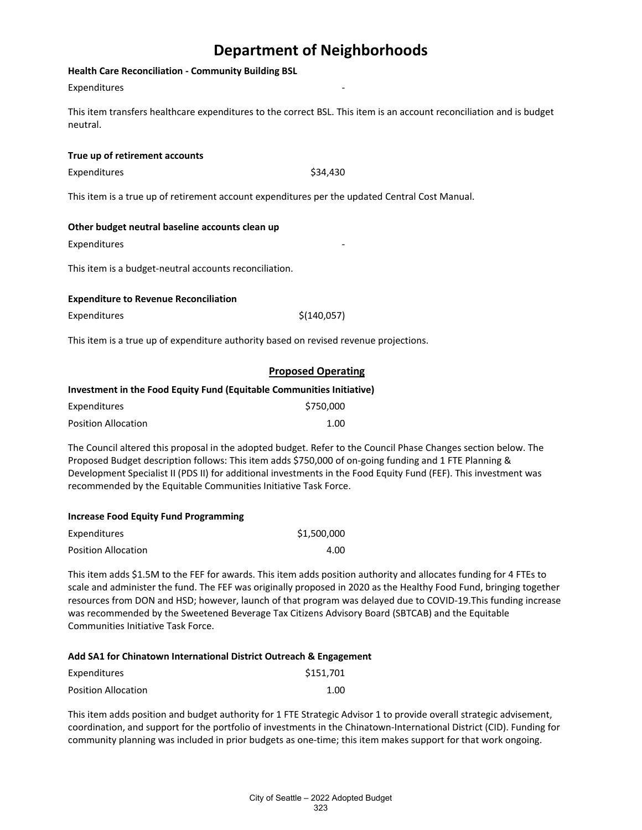#### **Health Care Reconciliation - Community Building BSL**

#### **Expenditures**

This item transfers healthcare expenditures to the correct BSL. This item is an account reconciliation and is budget neutral.

#### **True up of retirement accounts**

Expenditures \$34,430

This item is a true up of retirement account expenditures per the updated Central Cost Manual.

#### **Other budget neutral baseline accounts clean up**

**Expenditures** 

This item is a budget-neutral accounts reconciliation.

#### **Expenditure to Revenue Reconciliation**

 $\zeta(140,057)$ 

This item is a true up of expenditure authority based on revised revenue projections.

## **Proposed Operating**

#### **Investment in the Food Equity Fund (Equitable Communities Initiative)**

| Expenditures               | \$750,000 |
|----------------------------|-----------|
| <b>Position Allocation</b> | 1.00      |

The Council altered this proposal in the adopted budget. Refer to the Council Phase Changes section below. The Proposed Budget description follows: This item adds \$750,000 of on-going funding and 1 FTE Planning & Development Specialist II (PDS II) for additional investments in the Food Equity Fund (FEF). This investment was recommended by the Equitable Communities Initiative Task Force.

#### **Increase Food Equity Fund Programming**

| Expenditures               | \$1,500,000 |
|----------------------------|-------------|
| <b>Position Allocation</b> | 4.00        |

This item adds \$1.5M to the FEF for awards. This item adds position authority and allocates funding for 4 FTEs to scale and administer the fund. The FEF was originally proposed in 2020 as the Healthy Food Fund, bringing together resources from DON and HSD; however, launch of that program was delayed due to COVID-19.This funding increase was recommended by the Sweetened Beverage Tax Citizens Advisory Board (SBTCAB) and the Equitable Communities Initiative Task Force.

#### **Add SA1 for Chinatown International District Outreach & Engagement**

| Expenditures        | \$151,701 |
|---------------------|-----------|
| Position Allocation | 1.00      |

This item adds position and budget authority for 1 FTE Strategic Advisor 1 to provide overall strategic advisement, coordination, and support for the portfolio of investments in the Chinatown-International District (CID). Funding for community planning was included in prior budgets as one-time; this item makes support for that work ongoing.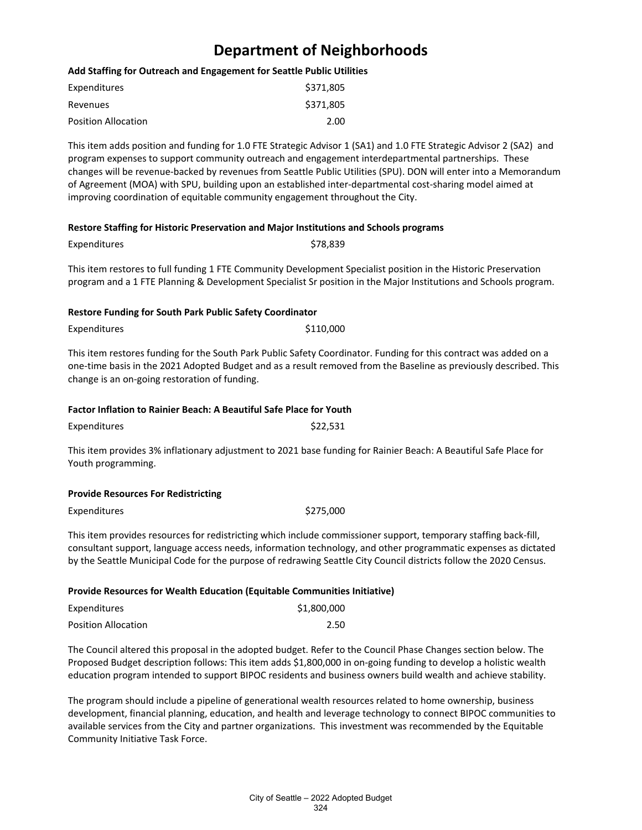#### **Add Staffing for Outreach and Engagement for Seattle Public Utilities**

| Expenditures               | \$371,805 |
|----------------------------|-----------|
| Revenues                   | \$371,805 |
| <b>Position Allocation</b> | 2.00      |

This item adds position and funding for 1.0 FTE Strategic Advisor 1 (SA1) and 1.0 FTE Strategic Advisor 2 (SA2) and program expenses to support community outreach and engagement interdepartmental partnerships. These changes will be revenue-backed by revenues from Seattle Public Utilities (SPU). DON will enter into a Memorandum of Agreement (MOA) with SPU, building upon an established inter-departmental cost-sharing model aimed at improving coordination of equitable community engagement throughout the City.

#### **Restore Staffing for Historic Preservation and Major Institutions and Schools programs**

| Expenditures | \$78.839                                                                                                                                                                                                                            |  |
|--------------|-------------------------------------------------------------------------------------------------------------------------------------------------------------------------------------------------------------------------------------|--|
|              | This item restores to full funding 1 FTE Community Development Specialist position in the Historic Preservation<br>program and a 1 FTE Planning & Development Specialist Sr position in the Major Institutions and Schools program. |  |

#### **Restore Funding for South Park Public Safety Coordinator**

Expenditures \$110,000

This item restores funding for the South Park Public Safety Coordinator. Funding for this contract was added on a one-time basis in the 2021 Adopted Budget and as a result removed from the Baseline as previously described. This change is an on-going restoration of funding.

#### **Factor Inflation to Rainier Beach: A Beautiful Safe Place for Youth**

| Expenditures | \$22,531 |
|--------------|----------|
|--------------|----------|

This item provides 3% inflationary adjustment to 2021 base funding for Rainier Beach: A Beautiful Safe Place for Youth programming.

#### **Provide Resources For Redistricting**

Expenditures \$275,000

This item provides resources for redistricting which include commissioner support, temporary staffing back-fill, consultant support, language access needs, information technology, and other programmatic expenses as dictated by the Seattle Municipal Code for the purpose of redrawing Seattle City Council districts follow the 2020 Census.

#### **Provide Resources for Wealth Education (Equitable Communities Initiative)**

| Expenditures               | \$1,800,000 |
|----------------------------|-------------|
| <b>Position Allocation</b> | 2.50        |

The Council altered this proposal in the adopted budget. Refer to the Council Phase Changes section below. The Proposed Budget description follows: This item adds \$1,800,000 in on-going funding to develop a holistic wealth education program intended to support BIPOC residents and business owners build wealth and achieve stability.

The program should include a pipeline of generational wealth resources related to home ownership, business development, financial planning, education, and health and leverage technology to connect BIPOC communities to available services from the City and partner organizations. This investment was recommended by the Equitable Community Initiative Task Force.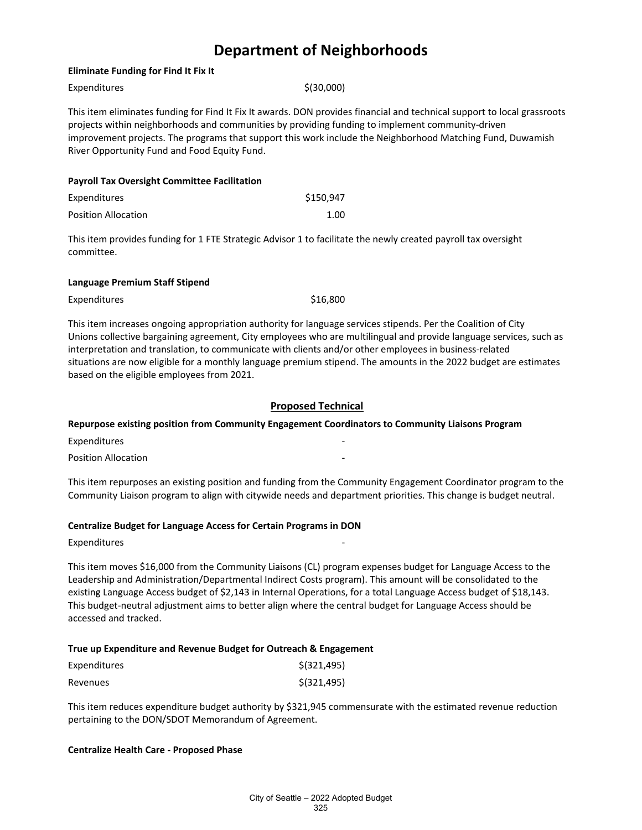#### **Eliminate Funding for Find It Fix It**

| Expenditures                                        | \$ (30,000)                                                                                                                                                                                                                                                                                                                                |  |
|-----------------------------------------------------|--------------------------------------------------------------------------------------------------------------------------------------------------------------------------------------------------------------------------------------------------------------------------------------------------------------------------------------------|--|
| River Opportunity Fund and Food Equity Fund.        | This item eliminates funding for Find It Fix It awards. DON provides financial and technical support to local grassroots<br>projects within neighborhoods and communities by providing funding to implement community-driven<br>improvement projects. The programs that support this work include the Neighborhood Matching Fund, Duwamish |  |
| <b>Payroll Tax Oversight Committee Facilitation</b> |                                                                                                                                                                                                                                                                                                                                            |  |
| Expenditures                                        | \$150.947                                                                                                                                                                                                                                                                                                                                  |  |
| <b>Position Allocation</b>                          | 1.00                                                                                                                                                                                                                                                                                                                                       |  |

This item provides funding for 1 FTE Strategic Advisor 1 to facilitate the newly created payroll tax oversight committee.

#### **Language Premium Staff Stipend**

| <b>Expenditures</b> | \$16,800 |
|---------------------|----------|
|                     |          |

This item increases ongoing appropriation authority for language services stipends. Per the Coalition of City Unions collective bargaining agreement, City employees who are multilingual and provide language services, such as interpretation and translation, to communicate with clients and/or other employees in business-related situations are now eligible for a monthly language premium stipend. The amounts in the 2022 budget are estimates based on the eligible employees from 2021.

#### **Proposed Technical**

#### **Repurpose existing position from Community Engagement Coordinators to Community Liaisons Program**

**Expenditures** 

Position Allocation

This item repurposes an existing position and funding from the Community Engagement Coordinator program to the Community Liaison program to align with citywide needs and department priorities. This change is budget neutral.

#### **Centralize Budget for Language Access for Certain Programs in DON**

Expenditures

This item moves \$16,000 from the Community Liaisons (CL) program expenses budget for Language Access to the Leadership and Administration/Departmental Indirect Costs program). This amount will be consolidated to the existing Language Access budget of \$2,143 in Internal Operations, for a total Language Access budget of \$18,143. This budget-neutral adjustment aims to better align where the central budget for Language Access should be accessed and tracked.

#### **True up Expenditure and Revenue Budget for Outreach & Engagement**

| Expenditures | $$$ (321,495) |
|--------------|---------------|
| Revenues     | $$$ (321,495) |

This item reduces expenditure budget authority by \$321,945 commensurate with the estimated revenue reduction pertaining to the DON/SDOT Memorandum of Agreement.

#### **Centralize Health Care - Proposed Phase**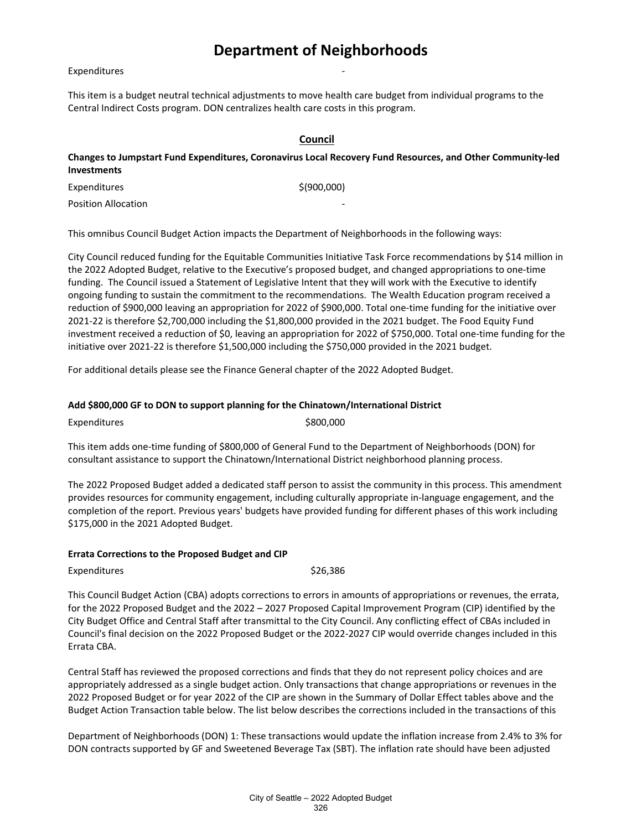#### **Expenditures**

This item is a budget neutral technical adjustments to move health care budget from individual programs to the Central Indirect Costs program. DON centralizes health care costs in this program.

#### **Council**

**Changes to Jumpstart Fund Expenditures, Coronavirus Local Recovery Fund Resources, and Other Community-led Investments**

Expenditures \$(900,000)

Position Allocation

This omnibus Council Budget Action impacts the Department of Neighborhoods in the following ways:

City Council reduced funding for the Equitable Communities Initiative Task Force recommendations by \$14 million in the 2022 Adopted Budget, relative to the Executive's proposed budget, and changed appropriations to one-time funding.  The Council issued a Statement of Legislative Intent that they will work with the Executive to identify ongoing funding to sustain the commitment to the recommendations.  The Wealth Education program received a reduction of \$900,000 leaving an appropriation for 2022 of \$900,000. Total one-time funding for the initiative over 2021-22 is therefore \$2,700,000 including the \$1,800,000 provided in the 2021 budget. The Food Equity Fund investment received a reduction of \$0, leaving an appropriation for 2022 of \$750,000. Total one-time funding for the initiative over 2021-22 is therefore \$1,500,000 including the \$750,000 provided in the 2021 budget.

For additional details please see the Finance General chapter of the 2022 Adopted Budget.

#### **Add \$800,000 GF to DON to support planning for the Chinatown/International District**

Expenditures \$800,000

This item adds one-time funding of \$800,000 of General Fund to the Department of Neighborhoods (DON) for consultant assistance to support the Chinatown/International District neighborhood planning process.

The 2022 Proposed Budget added a dedicated staff person to assist the community in this process. This amendment provides resources for community engagement, including culturally appropriate in-language engagement, and the completion of the report. Previous years' budgets have provided funding for different phases of this work including \$175,000 in the 2021 Adopted Budget.

#### **Errata Corrections to the Proposed Budget and CIP**

Expenditures \$26,386

This Council Budget Action (CBA) adopts corrections to errors in amounts of appropriations or revenues, the errata, for the 2022 Proposed Budget and the 2022 – 2027 Proposed Capital Improvement Program (CIP) identified by the City Budget Office and Central Staff after transmittal to the City Council. Any conflicting effect of CBAs included in Council's final decision on the 2022 Proposed Budget or the 2022-2027 CIP would override changes included in this Errata CBA.

Central Staff has reviewed the proposed corrections and finds that they do not represent policy choices and are appropriately addressed as a single budget action. Only transactions that change appropriations or revenues in the 2022 Proposed Budget or for year 2022 of the CIP are shown in the Summary of Dollar Effect tables above and the Budget Action Transaction table below. The list below describes the corrections included in the transactions of this

Department of Neighborhoods (DON) 1: These transactions would update the inflation increase from 2.4% to 3% for DON contracts supported by GF and Sweetened Beverage Tax (SBT). The inflation rate should have been adjusted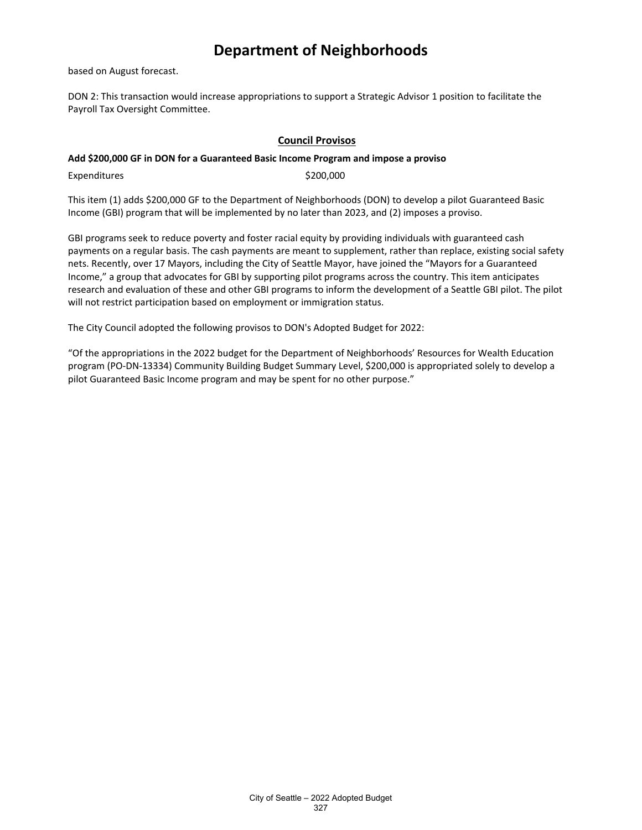based on August forecast.

DON 2: This transaction would increase appropriations to support a Strategic Advisor 1 position to facilitate the Payroll Tax Oversight Committee.

## **Council Provisos**

#### **Add \$200,000 GF in DON for a Guaranteed Basic Income Program and impose a proviso**

Expenditures \$200,000

This item (1) adds \$200,000 GF to the Department of Neighborhoods (DON) to develop a pilot Guaranteed Basic Income (GBI) program that will be implemented by no later than 2023, and (2) imposes a proviso.

GBI programs seek to reduce poverty and foster racial equity by providing individuals with guaranteed cash payments on a regular basis. The cash payments are meant to supplement, rather than replace, existing social safety nets. Recently, over 17 Mayors, including the City of Seattle Mayor, have joined the "Mayors for a Guaranteed Income," a group that advocates for GBI by supporting pilot programs across the country. This item anticipates research and evaluation of these and other GBI programs to inform the development of a Seattle GBI pilot. The pilot will not restrict participation based on employment or immigration status.

The City Council adopted the following provisos to DON's Adopted Budget for 2022:

"Of the appropriations in the 2022 budget for the Department of Neighborhoods' Resources for Wealth Education program (PO-DN-13334) Community Building Budget Summary Level, \$200,000 is appropriated solely to develop a pilot Guaranteed Basic Income program and may be spent for no other purpose."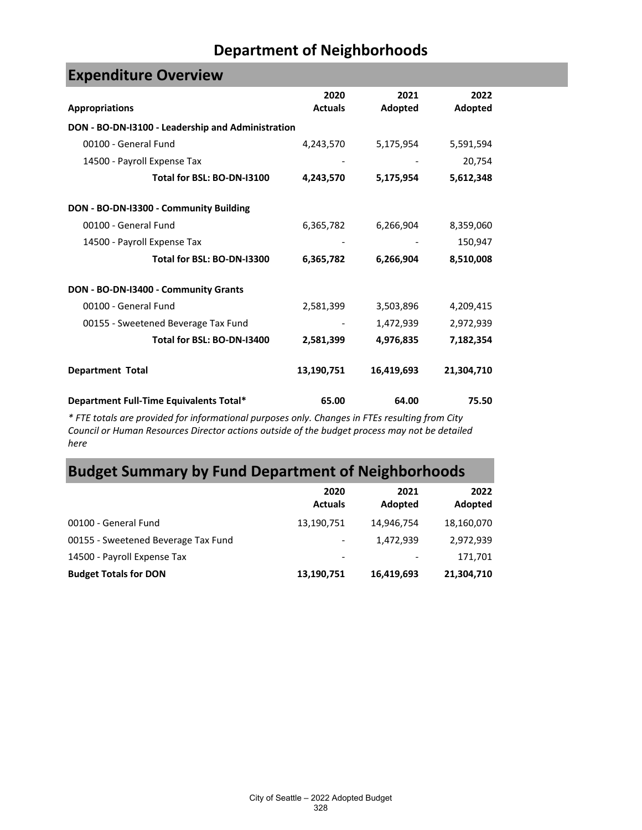| <b>EVACHAIRAL A AACI AIGAA</b>                    |                        |                 |                 |
|---------------------------------------------------|------------------------|-----------------|-----------------|
| <b>Appropriations</b>                             | 2020<br><b>Actuals</b> | 2021<br>Adopted | 2022<br>Adopted |
|                                                   |                        |                 |                 |
| DON - BO-DN-I3100 - Leadership and Administration |                        |                 |                 |
| 00100 - General Fund                              | 4,243,570              | 5,175,954       | 5,591,594       |
| 14500 - Payroll Expense Tax                       |                        |                 | 20,754          |
| Total for BSL: BO-DN-I3100                        | 4,243,570              | 5,175,954       | 5,612,348       |
| DON - BO-DN-I3300 - Community Building            |                        |                 |                 |
| 00100 - General Fund                              | 6,365,782              | 6,266,904       | 8,359,060       |
| 14500 - Payroll Expense Tax                       |                        |                 | 150,947         |
| Total for BSL: BO-DN-I3300                        | 6,365,782              | 6,266,904       | 8,510,008       |
| DON - BO-DN-I3400 - Community Grants              |                        |                 |                 |
| 00100 - General Fund                              | 2,581,399              | 3,503,896       | 4,209,415       |
| 00155 - Sweetened Beverage Tax Fund               |                        | 1,472,939       | 2,972,939       |
| Total for BSL: BO-DN-I3400                        | 2,581,399              | 4,976,835       | 7,182,354       |
| <b>Department Total</b>                           | 13,190,751             | 16,419,693      | 21,304,710      |
| Department Full-Time Equivalents Total*           | 65.00                  | 64.00           | 75.50           |

**Expenditure Overview**

*\* FTE totals are provided for informational purposes only. Changes in FTEs resulting from City Council or Human Resources Director actions outside of the budget process may not be detailed here*

# **Budget Summary by Fund Department of Neighborhoods**

|                                     | 2020<br><b>Actuals</b>   | 2021<br>Adopted | 2022<br>Adopted |
|-------------------------------------|--------------------------|-----------------|-----------------|
| 00100 - General Fund                | 13,190,751               | 14,946,754      | 18,160,070      |
| 00155 - Sweetened Beverage Tax Fund | $\overline{\phantom{a}}$ | 1,472,939       | 2,972,939       |
| 14500 - Payroll Expense Tax         | $\overline{\phantom{a}}$ |                 | 171,701         |
| <b>Budget Totals for DON</b>        | 13,190,751               | 16,419,693      | 21,304,710      |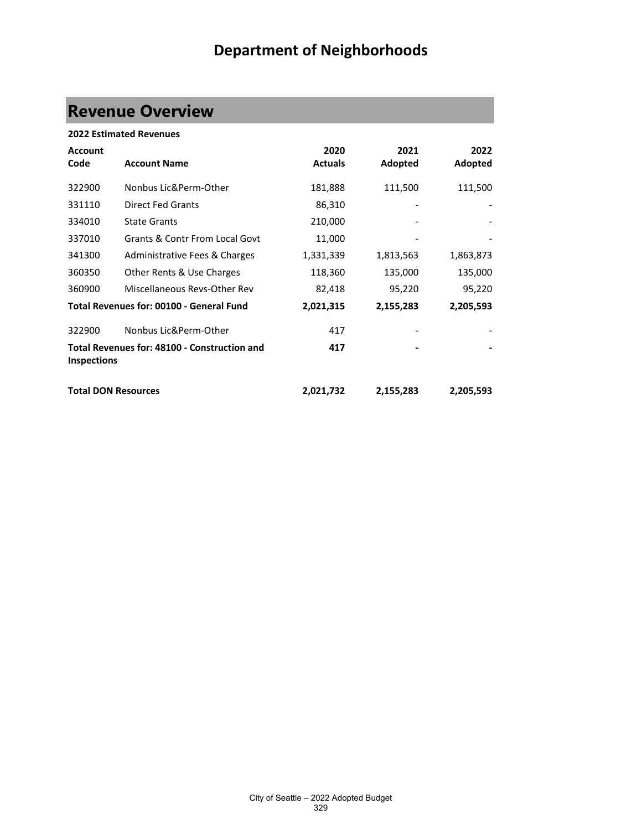# **Revenue Overview**

|                            | <b>2022 Estimated Revenues</b>               |                |           |           |
|----------------------------|----------------------------------------------|----------------|-----------|-----------|
| <b>Account</b>             |                                              | 2020           | 2021      | 2022      |
| Code                       | <b>Account Name</b>                          | <b>Actuals</b> | Adopted   | Adopted   |
| 322900                     | Nonbus Lic&Perm-Other                        | 181,888        | 111,500   | 111,500   |
| 331110                     | <b>Direct Fed Grants</b>                     | 86,310         |           |           |
| 334010                     | <b>State Grants</b>                          | 210,000        |           |           |
| 337010                     | <b>Grants &amp; Contr From Local Govt</b>    | 11,000         |           |           |
| 341300                     | Administrative Fees & Charges                | 1,331,339      | 1,813,563 | 1,863,873 |
| 360350                     | Other Rents & Use Charges                    | 118,360        | 135,000   | 135,000   |
| 360900                     | Miscellaneous Revs-Other Rev                 | 82,418         | 95,220    | 95,220    |
|                            | Total Revenues for: 00100 - General Fund     | 2,021,315      | 2,155,283 | 2,205,593 |
| 322900                     | Nonbus Lic&Perm-Other                        | 417            |           |           |
| <b>Inspections</b>         | Total Revenues for: 48100 - Construction and | 417            |           |           |
| <b>Total DON Resources</b> |                                              | 2,021,732      | 2,155,283 | 2,205,593 |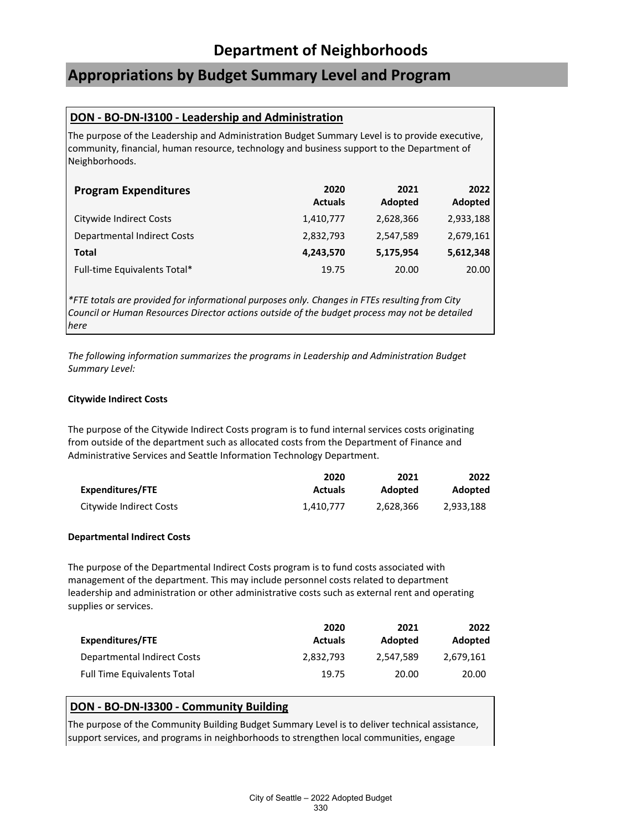## **Appropriations by Budget Summary Level and Program**

## **DON - BO-DN-I3100 - Leadership and Administration**

The purpose of the Leadership and Administration Budget Summary Level is to provide executive, community, financial, human resource, technology and business support to the Department of Neighborhoods.

| <b>Program Expenditures</b>        | 2020<br><b>Actuals</b> | 2021<br>Adopted | 2022<br>Adopted |
|------------------------------------|------------------------|-----------------|-----------------|
| Citywide Indirect Costs            | 1,410,777              | 2,628,366       | 2,933,188       |
| <b>Departmental Indirect Costs</b> | 2,832,793              | 2,547,589       | 2,679,161       |
| Total                              | 4,243,570              | 5,175,954       | 5,612,348       |
| Full-time Equivalents Total*       | 19.75                  | 20.00           | 20.00           |

*\*FTE totals are provided for informational purposes only. Changes in FTEs resulting from City Council or Human Resources Director actions outside of the budget process may not be detailed here*

*The following information summarizes the programs in Leadership and Administration Budget Summary Level:*

#### **Citywide Indirect Costs**

The purpose of the Citywide Indirect Costs program is to fund internal services costs originating from outside of the department such as allocated costs from the Department of Finance and Administrative Services and Seattle Information Technology Department.

|                         | 2020           | 2021      | 2022           |
|-------------------------|----------------|-----------|----------------|
| Expenditures/FTE        | <b>Actuals</b> | Adopted   | <b>Adopted</b> |
| Citywide Indirect Costs | 1.410.777      | 2.628.366 | 2.933.188      |

## **Departmental Indirect Costs**

The purpose of the Departmental Indirect Costs program is to fund costs associated with management of the department. This may include personnel costs related to department leadership and administration or other administrative costs such as external rent and operating supplies or services.

|                                    | 2020           | 2021      | 2022      |
|------------------------------------|----------------|-----------|-----------|
| Expenditures/FTE                   | <b>Actuals</b> | Adopted   | Adopted   |
| Departmental Indirect Costs        | 2.832.793      | 2.547.589 | 2,679,161 |
| <b>Full Time Equivalents Total</b> | 19.75          | 20.00     | 20.00     |

## **DON - BO-DN-I3300 - Community Building**

The purpose of the Community Building Budget Summary Level is to deliver technical assistance, support services, and programs in neighborhoods to strengthen local communities, engage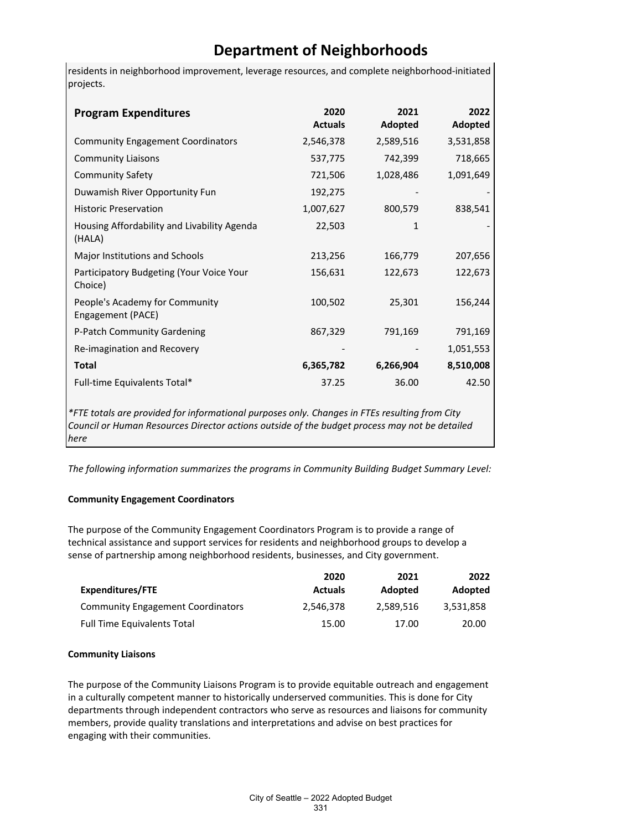residents in neighborhood improvement, leverage resources, and complete neighborhood-initiated projects.

| <b>Program Expenditures</b>                           | 2020<br><b>Actuals</b> | 2021<br>Adopted | 2022<br>Adopted |
|-------------------------------------------------------|------------------------|-----------------|-----------------|
| <b>Community Engagement Coordinators</b>              | 2,546,378              | 2,589,516       | 3,531,858       |
| <b>Community Liaisons</b>                             | 537,775                | 742,399         | 718,665         |
| <b>Community Safety</b>                               | 721,506                | 1,028,486       | 1,091,649       |
| Duwamish River Opportunity Fun                        | 192,275                |                 |                 |
| <b>Historic Preservation</b>                          | 1,007,627              | 800,579         | 838,541         |
| Housing Affordability and Livability Agenda<br>(HALA) | 22,503                 | 1               |                 |
| Major Institutions and Schools                        | 213,256                | 166,779         | 207,656         |
| Participatory Budgeting (Your Voice Your<br>Choice)   | 156,631                | 122,673         | 122,673         |
| People's Academy for Community<br>Engagement (PACE)   | 100,502                | 25,301          | 156,244         |
| P-Patch Community Gardening                           | 867,329                | 791,169         | 791,169         |
| Re-imagination and Recovery                           |                        |                 | 1,051,553       |
| <b>Total</b>                                          | 6,365,782              | 6,266,904       | 8,510,008       |
| Full-time Equivalents Total*                          | 37.25                  | 36.00           | 42.50           |

*\*FTE totals are provided for informational purposes only. Changes in FTEs resulting from City Council or Human Resources Director actions outside of the budget process may not be detailed here*

*The following information summarizes the programs in Community Building Budget Summary Level:*

## **Community Engagement Coordinators**

The purpose of the Community Engagement Coordinators Program is to provide a range of technical assistance and support services for residents and neighborhood groups to develop a sense of partnership among neighborhood residents, businesses, and City government.

|                                          | 2020           | 2021      | 2022      |
|------------------------------------------|----------------|-----------|-----------|
| Expenditures/FTE                         | <b>Actuals</b> | Adopted   | Adopted   |
| <b>Community Engagement Coordinators</b> | 2.546.378      | 2.589.516 | 3.531.858 |
| <b>Full Time Equivalents Total</b>       | 15.00          | 17.00     | 20.00     |

## **Community Liaisons**

The purpose of the Community Liaisons Program is to provide equitable outreach and engagement in a culturally competent manner to historically underserved communities. This is done for City departments through independent contractors who serve as resources and liaisons for community members, provide quality translations and interpretations and advise on best practices for engaging with their communities.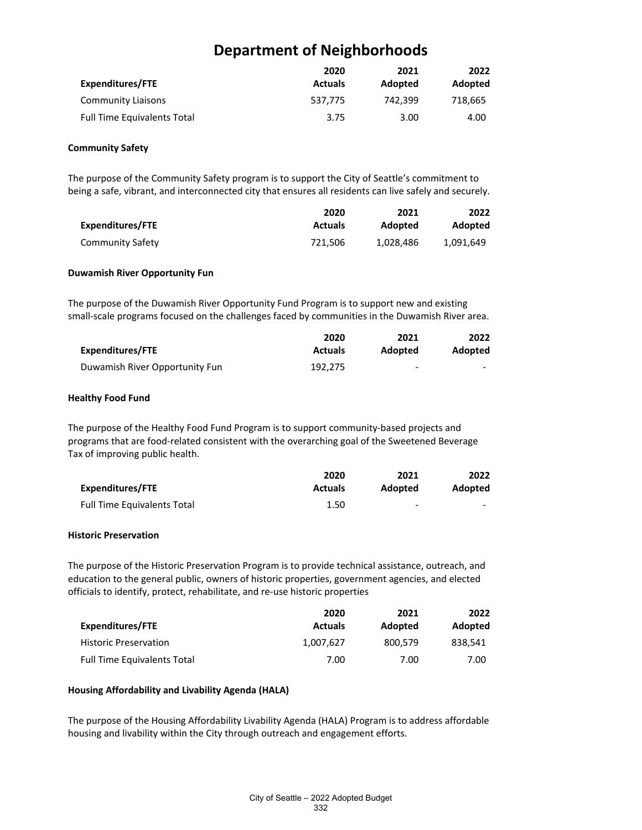| Expenditures/FTE                   | 2020<br><b>Actuals</b> | 2021<br>Adopted | 2022<br>Adopted |
|------------------------------------|------------------------|-----------------|-----------------|
| Community Liaisons                 | 537.775                | 742.399         | 718,665         |
| <b>Full Time Equivalents Total</b> | 3.75                   | 3.00            | 4.00            |

#### **Community Safety**

The purpose of the Community Safety program is to support the City of Seattle's commitment to being a safe, vibrant, and interconnected city that ensures all residents can live safely and securely.

|                  | 2020           | 2021      | 2022      |
|------------------|----------------|-----------|-----------|
| Expenditures/FTE | <b>Actuals</b> | Adopted   | Adopted   |
| Community Safety | 721.506        | 1,028,486 | 1,091,649 |

#### **Duwamish River Opportunity Fun**

The purpose of the Duwamish River Opportunity Fund Program is to support new and existing small-scale programs focused on the challenges faced by communities in the Duwamish River area.

|                                | 2020           | 2021    | 2022           |
|--------------------------------|----------------|---------|----------------|
| Expenditures/FTE               | <b>Actuals</b> | Adopted | <b>Adopted</b> |
| Duwamish River Opportunity Fun | 192.275        | -       | $\sim$         |

#### **Healthy Food Fund**

The purpose of the Healthy Food Fund Program is to support community-based projects and programs that are food-related consistent with the overarching goal of the Sweetened Beverage Tax of improving public health.

|                             | 2020           | 2021    | 2022                     |
|-----------------------------|----------------|---------|--------------------------|
| Expenditures/FTE            | <b>Actuals</b> | Adopted | <b>Adopted</b>           |
| Full Time Equivalents Total | 1.50           | -       | $\overline{\phantom{0}}$ |

## **Historic Preservation**

The purpose of the Historic Preservation Program is to provide technical assistance, outreach, and education to the general public, owners of historic properties, government agencies, and elected officials to identify, protect, rehabilitate, and re-use historic properties

|                                    | 2020           | 2021    | 2022    |
|------------------------------------|----------------|---------|---------|
| Expenditures/FTE                   | <b>Actuals</b> | Adopted | Adopted |
| <b>Historic Preservation</b>       | 1.007.627      | 800.579 | 838.541 |
| <b>Full Time Equivalents Total</b> | 7.00           | 7.00    | 7.00    |

## **Housing Affordability and Livability Agenda (HALA)**

The purpose of the Housing Affordability Livability Agenda (HALA) Program is to address affordable housing and livability within the City through outreach and engagement efforts.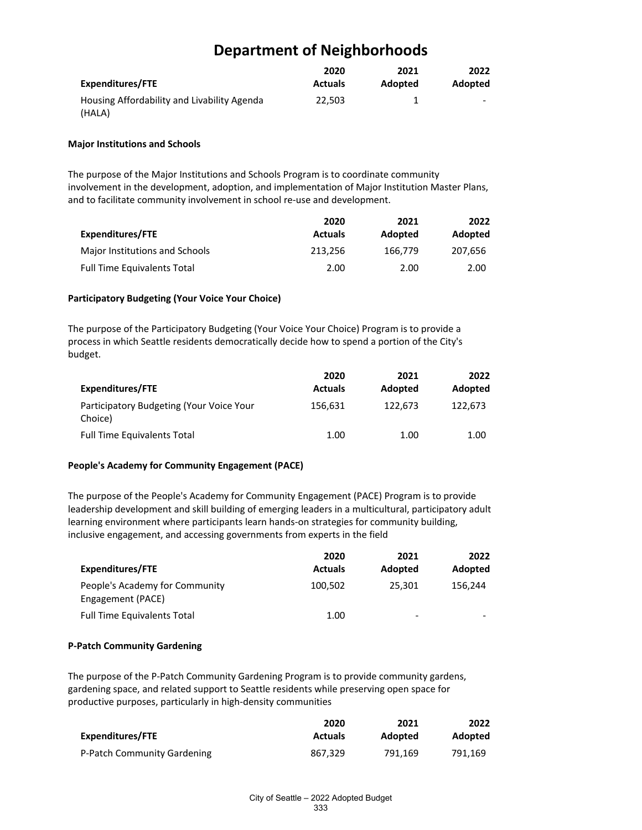|                                             | 2020           | 2021    | 2022                     |
|---------------------------------------------|----------------|---------|--------------------------|
| <b>Expenditures/FTE</b>                     | <b>Actuals</b> | Adopted | Adopted                  |
| Housing Affordability and Livability Agenda | 22.503         |         | $\overline{\phantom{a}}$ |
| (HALA)                                      |                |         |                          |

#### **Major Institutions and Schools**

The purpose of the Major Institutions and Schools Program is to coordinate community involvement in the development, adoption, and implementation of Major Institution Master Plans, and to facilitate community involvement in school re-use and development.

| Expenditures/FTE                   | 2020<br><b>Actuals</b> | 2021<br>Adopted | 2022<br>Adopted |
|------------------------------------|------------------------|-----------------|-----------------|
| Major Institutions and Schools     | 213.256                | 166.779         | 207.656         |
| <b>Full Time Equivalents Total</b> | 2.00                   | 2.00            | 2.00            |

#### **Participatory Budgeting (Your Voice Your Choice)**

The purpose of the Participatory Budgeting (Your Voice Your Choice) Program is to provide a process in which Seattle residents democratically decide how to spend a portion of the City's budget.

|                                                     | 2020           | 2021    | 2022    |
|-----------------------------------------------------|----------------|---------|---------|
| Expenditures/FTE                                    | <b>Actuals</b> | Adopted | Adopted |
| Participatory Budgeting (Your Voice Your<br>Choice) | 156,631        | 122.673 | 122.673 |
| <b>Full Time Equivalents Total</b>                  | 1.00           | 1.00    | 1.00    |

## **People's Academy for Community Engagement (PACE)**

The purpose of the People's Academy for Community Engagement (PACE) Program is to provide leadership development and skill building of emerging leaders in a multicultural, participatory adult learning environment where participants learn hands-on strategies for community building, inclusive engagement, and accessing governments from experts in the field

|                                                     | 2020           | 2021    | 2022    |
|-----------------------------------------------------|----------------|---------|---------|
| Expenditures/FTE                                    | <b>Actuals</b> | Adopted | Adopted |
| People's Academy for Community<br>Engagement (PACE) | 100,502        | 25.301  | 156.244 |
| <b>Full Time Equivalents Total</b>                  | 1.00           | -       | -       |

## **P-Patch Community Gardening**

The purpose of the P-Patch Community Gardening Program is to provide community gardens, gardening space, and related support to Seattle residents while preserving open space for productive purposes, particularly in high-density communities

|                             | 2020           | 2021    | 2022    |
|-----------------------------|----------------|---------|---------|
| Expenditures/FTE            | <b>Actuals</b> | Adopted | Adopted |
| P-Patch Community Gardening | 867.329        | 791.169 | 791.169 |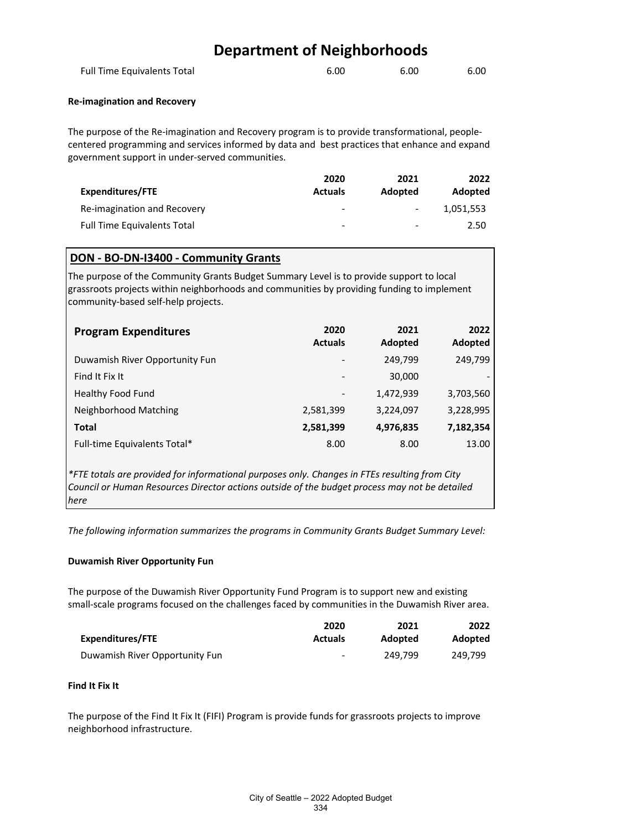| Full Time Equivalents Total | 6.00 | 6.00 | 6.00 |
|-----------------------------|------|------|------|
|                             |      |      |      |

#### **Re-imagination and Recovery**

The purpose of the Re-imagination and Recovery program is to provide transformational, peoplecentered programming and services informed by data and best practices that enhance and expand government support in under-served communities.

|                                    | 2020           | 2021    | 2022           |
|------------------------------------|----------------|---------|----------------|
| Expenditures/FTE                   | <b>Actuals</b> | Adopted | <b>Adopted</b> |
| Re-imagination and Recovery        | -              | $\sim$  | 1.051.553      |
| <b>Full Time Equivalents Total</b> | -              | -       | 2.50           |

## **DON - BO-DN-I3400 - Community Grants**

The purpose of the Community Grants Budget Summary Level is to provide support to local grassroots projects within neighborhoods and communities by providing funding to implement community-based self-help projects.

| <b>Program Expenditures</b>    | 2020<br><b>Actuals</b>   | 2021<br>Adopted | 2022<br>Adopted |
|--------------------------------|--------------------------|-----------------|-----------------|
| Duwamish River Opportunity Fun | $\overline{\phantom{a}}$ | 249,799         | 249,799         |
| Find It Fix It                 | -                        | 30,000          |                 |
| <b>Healthy Food Fund</b>       | $\overline{\phantom{a}}$ | 1,472,939       | 3,703,560       |
| Neighborhood Matching          | 2,581,399                | 3,224,097       | 3,228,995       |
| <b>Total</b>                   | 2,581,399                | 4,976,835       | 7,182,354       |
| Full-time Equivalents Total*   | 8.00                     | 8.00            | 13.00           |

*\*FTE totals are provided for informational purposes only. Changes in FTEs resulting from City Council or Human Resources Director actions outside of the budget process may not be detailed here*

*The following information summarizes the programs in Community Grants Budget Summary Level:*

## **Duwamish River Opportunity Fun**

The purpose of the Duwamish River Opportunity Fund Program is to support new and existing small-scale programs focused on the challenges faced by communities in the Duwamish River area.

| Expenditures/FTE               | 2020<br><b>Actuals</b> | 2021    | 2022           |
|--------------------------------|------------------------|---------|----------------|
|                                |                        | Adopted | <b>Adopted</b> |
| Duwamish River Opportunity Fun | $\sim$                 | 249.799 | 249.799        |

#### **Find It Fix It**

The purpose of the Find It Fix It (FIFI) Program is provide funds for grassroots projects to improve neighborhood infrastructure.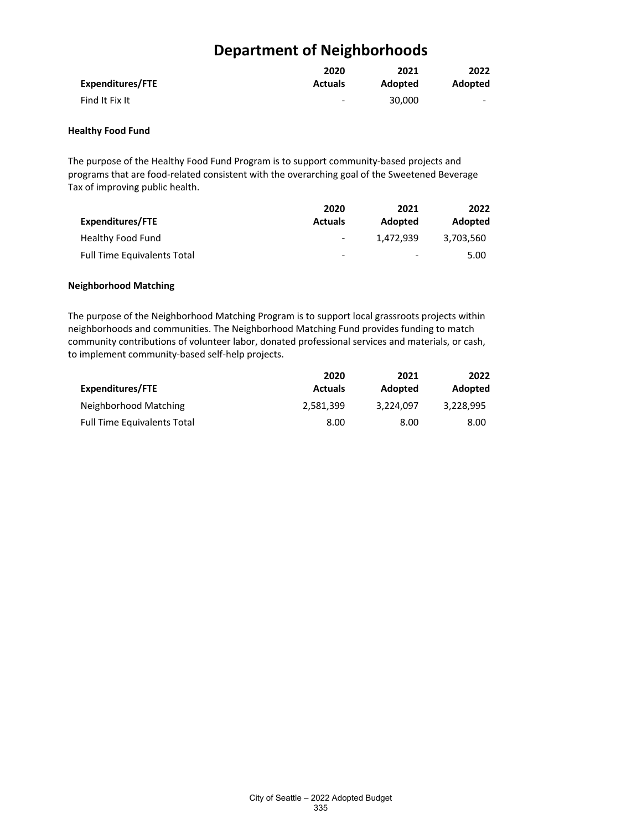|                  | 2020                         | 2021    | 2022                     |
|------------------|------------------------------|---------|--------------------------|
| Expenditures/FTE | <b>Actuals</b>               | Adopted | Adopted                  |
| Find It Fix It   | $\qquad \qquad \blacksquare$ | 30,000  | $\overline{\phantom{0}}$ |

## **Healthy Food Fund**

The purpose of the Healthy Food Fund Program is to support community-based projects and programs that are food-related consistent with the overarching goal of the Sweetened Beverage Tax of improving public health.

|                                    | 2020                     | 2021      | 2022      |
|------------------------------------|--------------------------|-----------|-----------|
| Expenditures/FTE                   | <b>Actuals</b>           | Adopted   | Adopted   |
| Healthy Food Fund                  | $\overline{\phantom{a}}$ | 1.472.939 | 3,703,560 |
| <b>Full Time Equivalents Total</b> | $\overline{\phantom{0}}$ | -         | 5.00      |

#### **Neighborhood Matching**

The purpose of the Neighborhood Matching Program is to support local grassroots projects within neighborhoods and communities. The Neighborhood Matching Fund provides funding to match community contributions of volunteer labor, donated professional services and materials, or cash, to implement community-based self-help projects.

| Expenditures/FTE                   | 2020<br><b>Actuals</b> | 2021<br>Adopted | 2022<br>Adopted |
|------------------------------------|------------------------|-----------------|-----------------|
|                                    |                        |                 |                 |
| <b>Full Time Equivalents Total</b> | 8.00                   | 8.00            | 8.00            |